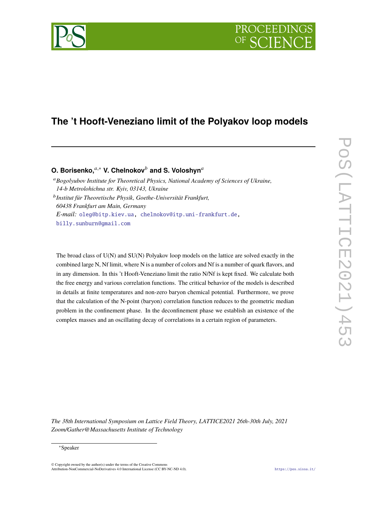# PROCEEDIN

## **The 't Hooft-Veneziano limit of the Polyakov loop models**

### **O. Borisenko,**<sup>a,\*</sup> V. Chelnokov<sup>b</sup> and S. Voloshvn<sup>a</sup>

<sup>𝑎</sup>*Bogolyubov Institute for Theoretical Physics, National Academy of Sciences of Ukraine, 14-b Metrolohichna str. Kyiv, 03143, Ukraine*

𝑏 *Institut für Theoretische Physik, Goethe-Universität Frankfurt, 60438 Frankfurt am Main, Germany E-mail:* [oleg@bitp.kiev.ua,](mailto:oleg@bitp.kiev.ua) [chelnokov@itp.uni-frankfurt.de,](mailto:chelnokov@itp.uni-frankfurt.de) [billy.sunburn@gmail.com](mailto:billy.sunburn@gmail.com)

The broad class of U(N) and SU(N) Polyakov loop models on the lattice are solved exactly in the combined large N, Nf limit, where N is a number of colors and Nf is a number of quark flavors, and in any dimension. In this 't Hooft-Veneziano limit the ratio N/Nf is kept fixed. We calculate both the free energy and various correlation functions. The critical behavior of the models is described in details at finite temperatures and non-zero baryon chemical potential. Furthermore, we prove that the calculation of the N-point (baryon) correlation function reduces to the geometric median problem in the confinement phase. In the deconfinement phase we establish an existence of the complex masses and an oscillating decay of correlations in a certain region of parameters.

*The 38th International Symposium on Lattice Field Theory, LATTICE2021 26th-30th July, 2021 Zoom/Gather@Massachusetts Institute of Technology*

#### <sup>∗</sup>Speaker

 $\odot$  Copyright owned by the author(s) under the terms of the Creative Common Attribution-NonCommercial-NoDerivatives 4.0 International License (CC BY-NC-ND 4.0). <https://pos.sissa.it/>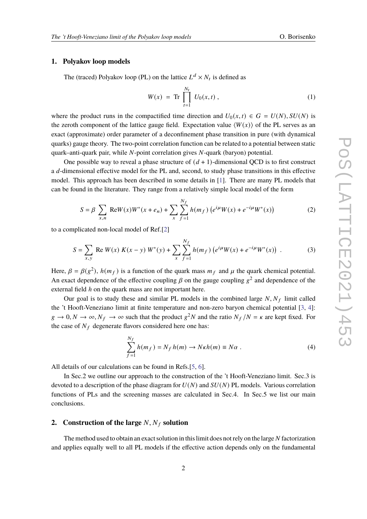#### **1. Polyakov loop models**

The (traced) Polyakov loop (PL) on the lattice  $L^d \times N_t$  is defined as

$$
W(x) = \text{Tr} \prod_{t=1}^{N_t} U_0(x, t) , \qquad (1)
$$

where the product runs in the compactified time direction and  $U_0(x, t) \in G = U(N)$ ,  $SU(N)$  is the zeroth component of the lattice gauge field. Expectation value  $\langle W(x) \rangle$  of the PL serves as an exact (approximate) order parameter of a deconfinement phase transition in pure (with dynamical quarks) gauge theory. The two-point correlation function can be related to a potential between static quark–anti-quark pair, while  $N$ -point correlation gives  $N$ -quark (baryon) potential.

One possible way to reveal a phase structure of  $(d+1)$ -dimensional QCD is to first construct a d-dimensional effective model for the PL and, second, to study phase transitions in this effective model. This approach has been described in some details in [\[1\]](#page-5-0). There are many PL models that can be found in the literature. They range from a relatively simple local model of the form

<span id="page-1-0"></span>
$$
S = \beta \sum_{x,n} \text{Re}W(x)W^*(x + e_n) + \sum_{x} \sum_{f=1}^{N_f} h(m_f) \left( e^{i\mu} W(x) + e^{-i\mu} W^*(x) \right) \tag{2}
$$

to a complicated non-local model of Ref.[\[2\]](#page-5-1)

<span id="page-1-1"></span>
$$
S = \sum_{x,y} \text{Re } W(x) K(x-y) W^*(y) + \sum_{x} \sum_{f=1}^{N_f} h(m_f) \left( e^{i\mu} W(x) + e^{-i\mu} W^*(x) \right) . \tag{3}
$$

Here,  $\beta = \beta(g^2)$ ,  $h(m_f)$  is a function of the quark mass  $m_f$  and  $\mu$  the quark chemical potential. An exact dependence of the effective coupling  $\beta$  on the gauge coupling  $g^2$  and dependence of the external field  $h$  on the quark mass are not important here.

Our goal is to study these and similar PL models in the combined large  $N, N_f$  limit called the 't Hooft-Veneziano limit at finite temperature and non-zero baryon chemical potential [\[3,](#page-5-2) [4\]](#page-6-0):  $g \to 0, N \to \infty, N_f \to \infty$  such that the product  $g^2N$  and the ratio  $N_f/N = \kappa$  are kept fixed. For the case of  $N_f$  degenerate flavors considered here one has:

$$
\sum_{f=1}^{N_f} h(m_f) = N_f h(m) \to N\kappa h(m) \equiv N\alpha . \tag{4}
$$

All details of our calculations can be found in Refs.[\[5,](#page-6-1) [6\]](#page-6-2).

In Sec.2 we outline our approach to the construction of the 't Hooft-Veneziano limit. Sec.3 is devoted to a description of the phase diagram for  $U(N)$  and  $SU(N)$  PL models. Various correlation functions of PLs and the screening masses are calculated in Sec.4. In Sec.5 we list our main conclusions.

#### **2.** Construction of the large  $N$ ,  $N_f$  solution

The method used to obtain an exact solution in this limit does not rely on the large N factorization and applies equally well to all PL models if the effective action depends only on the fundamental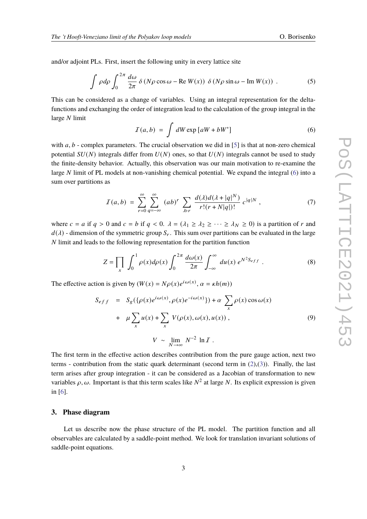and/or adjoint PLs. First, insert the following unity in every lattice site

$$
\int \rho d\rho \int_0^{2\pi} \frac{d\omega}{2\pi} \delta (N\rho \cos \omega - \text{Re } W(x)) \delta (N\rho \sin \omega - \text{Im } W(x)) \tag{5}
$$

This can be considered as a change of variables. Using an integral representation for the deltafunctions and exchanging the order of integration lead to the calculation of the group integral in the large  $N$  limit

<span id="page-2-0"></span>
$$
I(a,b) = \int dW \exp [aW + bW^*]
$$
 (6)

with  $a, b$  - complex parameters. The crucial observation we did in [\[5\]](#page-6-1) is that at non-zero chemical potential  $SU(N)$  integrals differ from  $U(N)$  ones, so that  $U(N)$  integrals cannot be used to study the finite-density behavior. Actually, this observation was our main motivation to re-examine the large N limit of PL models at non-vanishing chemical potential. We expand the integral  $(6)$  into a sum over partitions as

$$
I(a,b) = \sum_{r=0}^{\infty} \sum_{q=-\infty}^{\infty} (ab)^r \sum_{\lambda \vdash r} \frac{d(\lambda) d(\lambda + |q|^N)}{r!(r+N|q|)!} c^{|q|N}, \qquad (7)
$$

where  $c = a$  if  $q > 0$  and  $c = b$  if  $q < 0$ .  $\lambda = (\lambda_1 \geq \lambda_2 \geq \cdots \geq \lambda_N \geq 0)$  is a partition of r and  $d(\lambda)$  - dimension of the symmetric group  $S_r$ . This sum over partitions can be evaluated in the large  $N$  limit and leads to the following representation for the partition function

$$
Z = \prod_{x} \int_0^1 \rho(x) d\rho(x) \int_0^{2\pi} \frac{d\omega(x)}{2\pi} \int_{-\infty}^{\infty} du(x) e^{N^2 S_{eff}} . \tag{8}
$$

The effective action is given by  $(W(x) = N\rho(x)e^{i\omega(x)}, \alpha = \kappa h(m))$ 

$$
S_{eff} = S_g(\{\rho(x)e^{i\omega(x)}, \rho(x)e^{-i\omega(x)}\}) + \alpha \sum_{x} \rho(x)\cos\omega(x)
$$
  
+ 
$$
\mu \sum_{x} u(x) + \sum_{x} V(\rho(x), \omega(x), u(x)),
$$
 (9)

$$
V \sim \lim_{N \to \infty} N^{-2} \ln I.
$$

The first term in the effective action describes contribution from the pure gauge action, next two terms - contribution from the static quark determinant (second term in  $(2),(3)$  $(2),(3)$  $(2),(3)$ ). Finally, the last term arises after group integration - it can be considered as a Jacobian of transformation to new variables  $\rho$ ,  $\omega$ . Important is that this term scales like  $N^2$  at large N. Its explicit expression is given in [\[6\]](#page-6-2).

#### **3. Phase diagram**

Let us describe now the phase structure of the PL model. The partition function and all observables are calculated by a saddle-point method. We look for translation invariant solutions of saddle-point equations.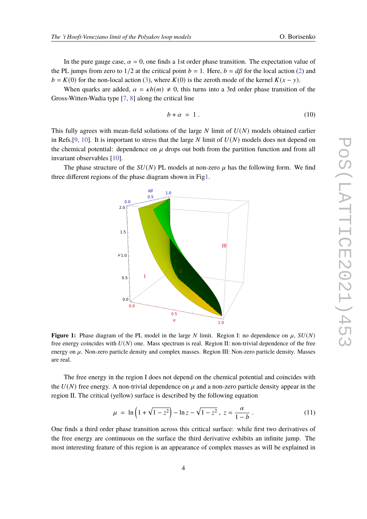In the pure gauge case,  $\alpha = 0$ , one finds a 1st order phase transition. The expectation value of the PL jumps from zero to  $1/2$  at the critical point  $b = 1$ . Here,  $b = d\beta$  for the local action [\(2\)](#page-1-0) and  $b = K(0)$  for the non-local action [\(3\)](#page-1-1), where  $K(0)$  is the zeroth mode of the kernel  $K(x - y)$ .

When quarks are added,  $\alpha = \kappa h(m) \neq 0$ , this turns into a 3rd order phase transition of the Gross-Witten-Wadia type [\[7,](#page-6-3) [8\]](#page-6-4) along the critical line

$$
b + \alpha = 1. \tag{10}
$$

This fully agrees with mean-field solutions of the large  $N$  limit of  $U(N)$  models obtained earlier in Refs.[\[9,](#page-6-5) [10\]](#page-6-6). It is important to stress that the large  $N$  limit of  $U(N)$  models does not depend on the chemical potential: dependence on  $\mu$  drops out both from the partition function and from all invariant observables [\[10\]](#page-6-6).

<span id="page-3-0"></span>The phase structure of the  $SU(N)$  PL models at non-zero  $\mu$  has the following form. We find three different regions of the phase diagram shown in Fi[g1.](#page-3-0)



**Figure 1:** Phase diagram of the PL model in the large N limit. Region I: no dependence on  $\mu$ ,  $SU(N)$ free energy coincides with  $U(N)$  one. Mass spectrum is real. Region II: non-trivial dependence of the free energy on  $\mu$ . Non-zero particle density and complex masses. Region III: Non-zero particle density. Masses are real.

The free energy in the region I does not depend on the chemical potential and coincides with the  $U(N)$  free energy. A non-trivial dependence on  $\mu$  and a non-zero particle density appear in the region II. The critical (yellow) surface is described by the following equation

$$
\mu = \ln\left(1 + \sqrt{1 - z^2}\right) - \ln z - \sqrt{1 - z^2}, \ z = \frac{\alpha}{1 - b} \ . \tag{11}
$$

One finds a third order phase transition across this critical surface: while first two derivatives of the free energy are continuous on the surface the third derivative exhibits an infinite jump. The most interesting feature of this region is an appearance of complex masses as will be explained in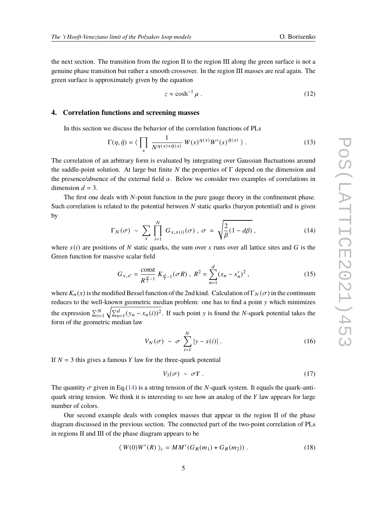the next section. The transition from the region II to the region III along the green surface is not a genuine phase transition but rather a smooth crossover. In the region III masses are real again. The green surface is approximately given by the equation

$$
z \approx \cosh^{-1} \mu \ . \tag{12}
$$

#### **4. Correlation functions and screening masses**

In this section we discuss the behavior of the correlation functions of PLs

$$
\Gamma(\eta,\bar{\eta}) = \langle \prod_{x} \frac{1}{N^{\eta(x)+\bar{\eta}(x)}} W(x)^{\eta(x)} W^*(x)^{\bar{\eta}(x)} \rangle.
$$
 (13)

The correlation of an arbitrary form is evaluated by integrating over Gaussian fluctuations around the saddle-point solution. At large but finite  $N$  the properties of  $\Gamma$  depend on the dimension and the presence/absence of the external field  $\alpha$ . Below we consider two examples of correlations in dimension  $d = 3$ .

The first one deals with N-point function in the pure gauge theory in the confinement phase. Such correlation is related to the potential between  $N$  static quarks (baryon potential) and is given by

<span id="page-4-0"></span>
$$
\Gamma_N(\sigma) \sim \sum_{x} \prod_{i=1}^N G_{x,x(i)}(\sigma) \,, \, \sigma = \sqrt{\frac{2}{\beta}(1 - d\beta)} \,, \tag{14}
$$

where  $x(i)$  are positions of N static quarks, the sum over x runs over all lattice sites and G is the Green function for massive scalar field

$$
G_{x,x'} = \frac{\text{const}}{R^{\frac{d}{2}-1}} K_{\frac{d}{2}-1}(\sigma R) , R^2 = \sum_{n=1}^d (x_n - x'_n)^2 ,
$$
 (15)

where  $K_n(x)$  is the modified Bessel function of the 2nd kind. Calculation of  $\Gamma_N(\sigma)$  in the continuum reduces to the well-known geometric median problem: one has to find a point y which minimizes the expression  $\sum_{i=1}^{N} \sqrt{\sum_{n=1}^{d} (y_n - x_n(i))^2}$ . If such point y is found the N-quark potential takes the form of the geometric median law

$$
V_N(\sigma) \sim \sigma \sum_{i=1}^N |y - x(i)|. \tag{16}
$$

If  $N = 3$  this gives a famous Y law for the three-quark potential

$$
V_3(\sigma) \sim \sigma Y \,. \tag{17}
$$

The quantity  $\sigma$  given in Eq.[\(14\)](#page-4-0) is a string tension of the N-quark system. It equals the quark–antiquark string tension. We think it is interesting to see how an analog of the  $Y$  law appears for large number of colors.

Our second example deals with complex masses that appear in the region II of the phase diagram discussed in the previous section. The connected part of the two-point correlation of PLs in regions II and III of the phase diagram appears to be

$$
\langle W(0)W^*(R) \rangle_c = MM^*(G_R(m_1) + G_R(m_2)) . \tag{18}
$$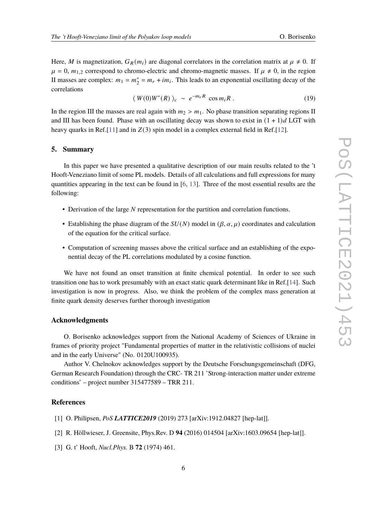Here, M is magnetization,  $G_R(m_i)$  are diagonal correlators in the correlation matrix at  $\mu \neq 0$ . If  $\mu = 0$ ,  $m_{1,2}$  correspond to chromo-electric and chromo-magnetic masses. If  $\mu \neq 0$ , in the region II masses are complex:  $m_1 = m_2^*$  $z_2^* = m_r + im_i$ . This leads to an exponential oscillating decay of the correlations

$$
\langle W(0)W^*(R)\rangle_c \sim e^{-m_rR} \cos m_iR \,. \tag{19}
$$

In the region III the masses are real again with  $m_2 > m_1$ . No phase transition separating regions II and III has been found. Phase with an oscillating decay was shown to exist in  $(1 + 1)d$  LGT with heavy quarks in Ref.[\[11\]](#page-6-7) and in  $Z(3)$  spin model in a complex external field in Ref.[\[12\]](#page-6-8).

#### **5. Summary**

In this paper we have presented a qualitative description of our main results related to the 't Hooft-Veneziano limit of some PL models. Details of all calculations and full expressions for many quantities appearing in the text can be found in [\[6,](#page-6-2) [13\]](#page-6-9). Three of the most essential results are the following:

- Derivation of the large  $N$  representation for the partition and correlation functions.
- Establishing the phase diagram of the  $SU(N)$  model in  $(\beta, \alpha, \mu)$  coordinates and calculation of the equation for the critical surface.
- Computation of screening masses above the critical surface and an establishing of the exponential decay of the PL correlations modulated by a cosine function.

We have not found an onset transition at finite chemical potential. In order to see such transition one has to work presumably with an exact static quark determinant like in Ref.[\[14\]](#page-6-10). Such investigation is now in progress. Also, we think the problem of the complex mass generation at finite quark density deserves further thorough investigation

#### **Acknowledgments**

O. Borisenko acknowledges support from the National Academy of Sciences of Ukraine in frames of priority project "Fundamental properties of matter in the relativistic collisions of nuclei and in the early Universe" (No. 0120U100935).

Author V. Chelnokov acknowledges support by the Deutsche Forschungsgemeinschaft (DFG, German Research Foundation) through the CRC- TR 211 'Strong-interaction matter under extreme conditions' – project number 315477589 – TRR 211.

#### **References**

- <span id="page-5-0"></span>[1] O. Philipsen, *PoS LATTICE2019* (2019) 273 [arXiv:1912.04827 [hep-lat]].
- <span id="page-5-1"></span>[2] R. Höllwieser, J. Greensite, Phys.Rev. D **94** (2016) 014504 [arXiv:1603.09654 [hep-lat]].
- <span id="page-5-2"></span>[3] G. t' Hooft, *Nucl.Phys.* B **72** (1974) 461.